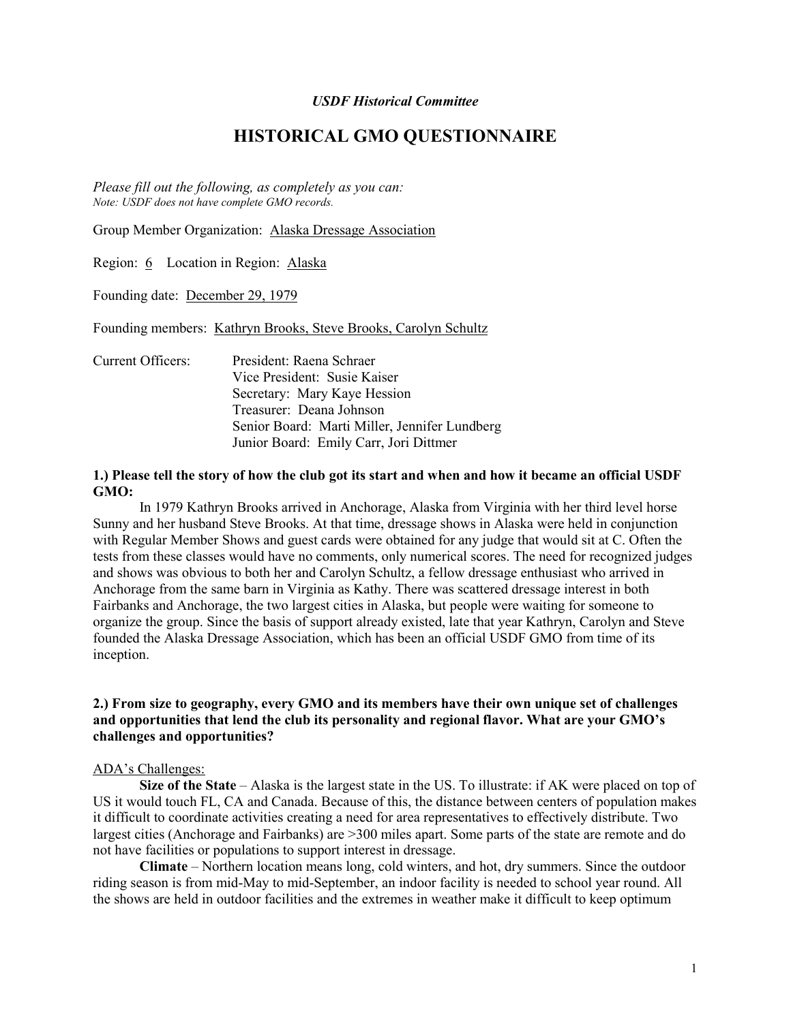## USDF Historical Committee

# HISTORICAL GMO QUESTIONNAIRE

Please fill out the following, as completely as you can: Note: USDF does not have complete GMO records.

Group Member Organization: Alaska Dressage Association

Region: 6 Location in Region: Alaska

Founding date: December 29, 1979

Founding members: Kathryn Brooks, Steve Brooks, Carolyn Schultz

Current Officers: President: Raena Schraer Vice President: Susie Kaiser Secretary: Mary Kaye Hession Treasurer: Deana Johnson Senior Board: Marti Miller, Jennifer Lundberg Junior Board: Emily Carr, Jori Dittmer

# 1.) Please tell the story of how the club got its start and when and how it became an official USDF GMO:

In 1979 Kathryn Brooks arrived in Anchorage, Alaska from Virginia with her third level horse Sunny and her husband Steve Brooks. At that time, dressage shows in Alaska were held in conjunction with Regular Member Shows and guest cards were obtained for any judge that would sit at C. Often the tests from these classes would have no comments, only numerical scores. The need for recognized judges and shows was obvious to both her and Carolyn Schultz, a fellow dressage enthusiast who arrived in Anchorage from the same barn in Virginia as Kathy. There was scattered dressage interest in both Fairbanks and Anchorage, the two largest cities in Alaska, but people were waiting for someone to organize the group. Since the basis of support already existed, late that year Kathryn, Carolyn and Steve founded the Alaska Dressage Association, which has been an official USDF GMO from time of its inception.

# 2.) From size to geography, every GMO and its members have their own unique set of challenges and opportunities that lend the club its personality and regional flavor. What are your GMO's challenges and opportunities?

## ADA's Challenges:

Size of the State – Alaska is the largest state in the US. To illustrate: if AK were placed on top of US it would touch FL, CA and Canada. Because of this, the distance between centers of population makes it difficult to coordinate activities creating a need for area representatives to effectively distribute. Two largest cities (Anchorage and Fairbanks) are >300 miles apart. Some parts of the state are remote and do not have facilities or populations to support interest in dressage.

Climate – Northern location means long, cold winters, and hot, dry summers. Since the outdoor riding season is from mid-May to mid-September, an indoor facility is needed to school year round. All the shows are held in outdoor facilities and the extremes in weather make it difficult to keep optimum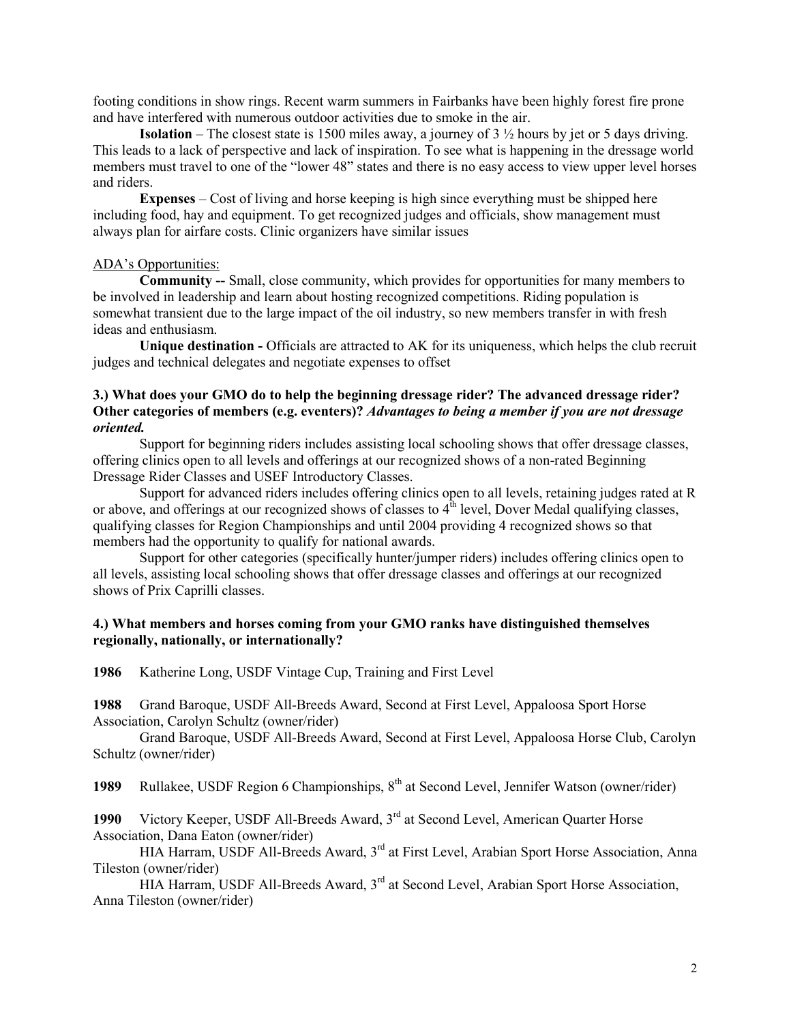footing conditions in show rings. Recent warm summers in Fairbanks have been highly forest fire prone and have interfered with numerous outdoor activities due to smoke in the air.

**Isolation** – The closest state is 1500 miles away, a journey of 3  $\frac{1}{2}$  hours by jet or 5 days driving. This leads to a lack of perspective and lack of inspiration. To see what is happening in the dressage world members must travel to one of the "lower 48" states and there is no easy access to view upper level horses and riders.

Expenses – Cost of living and horse keeping is high since everything must be shipped here including food, hay and equipment. To get recognized judges and officials, show management must always plan for airfare costs. Clinic organizers have similar issues

# ADA's Opportunities:

 Community -- Small, close community, which provides for opportunities for many members to be involved in leadership and learn about hosting recognized competitions. Riding population is somewhat transient due to the large impact of the oil industry, so new members transfer in with fresh ideas and enthusiasm.

Unique destination - Officials are attracted to AK for its uniqueness, which helps the club recruit judges and technical delegates and negotiate expenses to offset

# 3.) What does your GMO do to help the beginning dressage rider? The advanced dressage rider? Other categories of members (e.g. eventers)? Advantages to being a member if you are not dressage oriented.

 Support for beginning riders includes assisting local schooling shows that offer dressage classes, offering clinics open to all levels and offerings at our recognized shows of a non-rated Beginning Dressage Rider Classes and USEF Introductory Classes.

 Support for advanced riders includes offering clinics open to all levels, retaining judges rated at R or above, and offerings at our recognized shows of classes to  $4<sup>th</sup>$  level, Dover Medal qualifying classes, qualifying classes for Region Championships and until 2004 providing 4 recognized shows so that members had the opportunity to qualify for national awards.

 Support for other categories (specifically hunter/jumper riders) includes offering clinics open to all levels, assisting local schooling shows that offer dressage classes and offerings at our recognized shows of Prix Caprilli classes.

## 4.) What members and horses coming from your GMO ranks have distinguished themselves regionally, nationally, or internationally?

1986 Katherine Long, USDF Vintage Cup, Training and First Level

1988 Grand Baroque, USDF All-Breeds Award, Second at First Level, Appaloosa Sport Horse Association, Carolyn Schultz (owner/rider)

 Grand Baroque, USDF All-Breeds Award, Second at First Level, Appaloosa Horse Club, Carolyn Schultz (owner/rider)

1989 Rullakee, USDF Region 6 Championships,  $8<sup>th</sup>$  at Second Level, Jennifer Watson (owner/rider)

1990 Victory Keeper, USDF All-Breeds Award, 3<sup>rd</sup> at Second Level, American Quarter Horse Association, Dana Eaton (owner/rider)

HIA Harram, USDF All-Breeds Award, 3<sup>rd</sup> at First Level, Arabian Sport Horse Association, Anna Tileston (owner/rider)

HIA Harram, USDF All-Breeds Award, 3<sup>rd</sup> at Second Level, Arabian Sport Horse Association, Anna Tileston (owner/rider)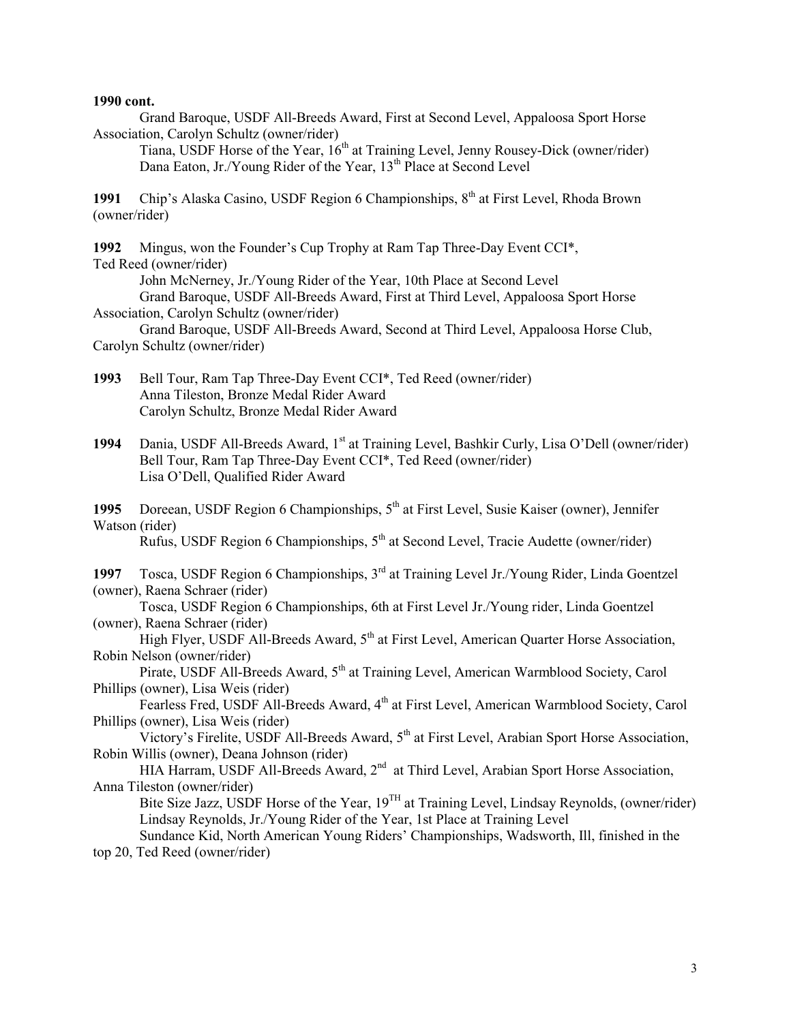## 1990 cont.

Grand Baroque, USDF All-Breeds Award, First at Second Level, Appaloosa Sport Horse Association, Carolyn Schultz (owner/rider)

Tiana, USDF Horse of the Year, 16<sup>th</sup> at Training Level, Jenny Rousey-Dick (owner/rider) Dana Eaton, Jr./Young Rider of the Year, 13<sup>th</sup> Place at Second Level

1991 Chip's Alaska Casino, USDF Region 6 Championships, 8<sup>th</sup> at First Level, Rhoda Brown (owner/rider)

1992 Mingus, won the Founder's Cup Trophy at Ram Tap Three-Day Event CCI\*, Ted Reed (owner/rider)

John McNerney, Jr./Young Rider of the Year, 10th Place at Second Level

Grand Baroque, USDF All-Breeds Award, First at Third Level, Appaloosa Sport Horse Association, Carolyn Schultz (owner/rider)

 Grand Baroque, USDF All-Breeds Award, Second at Third Level, Appaloosa Horse Club, Carolyn Schultz (owner/rider)

1993 Bell Tour, Ram Tap Three-Day Event CCI\*, Ted Reed (owner/rider) Anna Tileston, Bronze Medal Rider Award Carolyn Schultz, Bronze Medal Rider Award

1994 Dania, USDF All-Breeds Award, 1<sup>st</sup> at Training Level, Bashkir Curly, Lisa O'Dell (owner/rider) Bell Tour, Ram Tap Three-Day Event CCI\*, Ted Reed (owner/rider) Lisa O'Dell, Qualified Rider Award

1995 Doreean, USDF Region 6 Championships,  $5<sup>th</sup>$  at First Level, Susie Kaiser (owner), Jennifer Watson (rider)

 $Rufus$ , USDF Region 6 Championships,  $5<sup>th</sup>$  at Second Level, Tracie Audette (owner/rider)

1997 Tosca, USDF Region 6 Championships, 3rd at Training Level Jr./Young Rider, Linda Goentzel (owner), Raena Schraer (rider)

 Tosca, USDF Region 6 Championships, 6th at First Level Jr./Young rider, Linda Goentzel (owner), Raena Schraer (rider)

High Flyer, USDF All-Breeds Award,  $5<sup>th</sup>$  at First Level, American Quarter Horse Association, Robin Nelson (owner/rider)

Pirate, USDF All-Breeds Award, 5<sup>th</sup> at Training Level, American Warmblood Society, Carol Phillips (owner), Lisa Weis (rider)

Fearless Fred, USDF All-Breeds Award, 4<sup>th</sup> at First Level, American Warmblood Society, Carol Phillips (owner), Lisa Weis (rider)

Victory's Firelite, USDF All-Breeds Award,  $5<sup>th</sup>$  at First Level, Arabian Sport Horse Association, Robin Willis (owner), Deana Johnson (rider)

HIA Harram, USDF All-Breeds Award, 2<sup>nd</sup> at Third Level, Arabian Sport Horse Association, Anna Tileston (owner/rider)

Bite Size Jazz, USDF Horse of the Year, 19<sup>TH</sup> at Training Level, Lindsay Reynolds, (owner/rider) Lindsay Reynolds, Jr./Young Rider of the Year, 1st Place at Training Level

 Sundance Kid, North American Young Riders' Championships, Wadsworth, Ill, finished in the top 20, Ted Reed (owner/rider)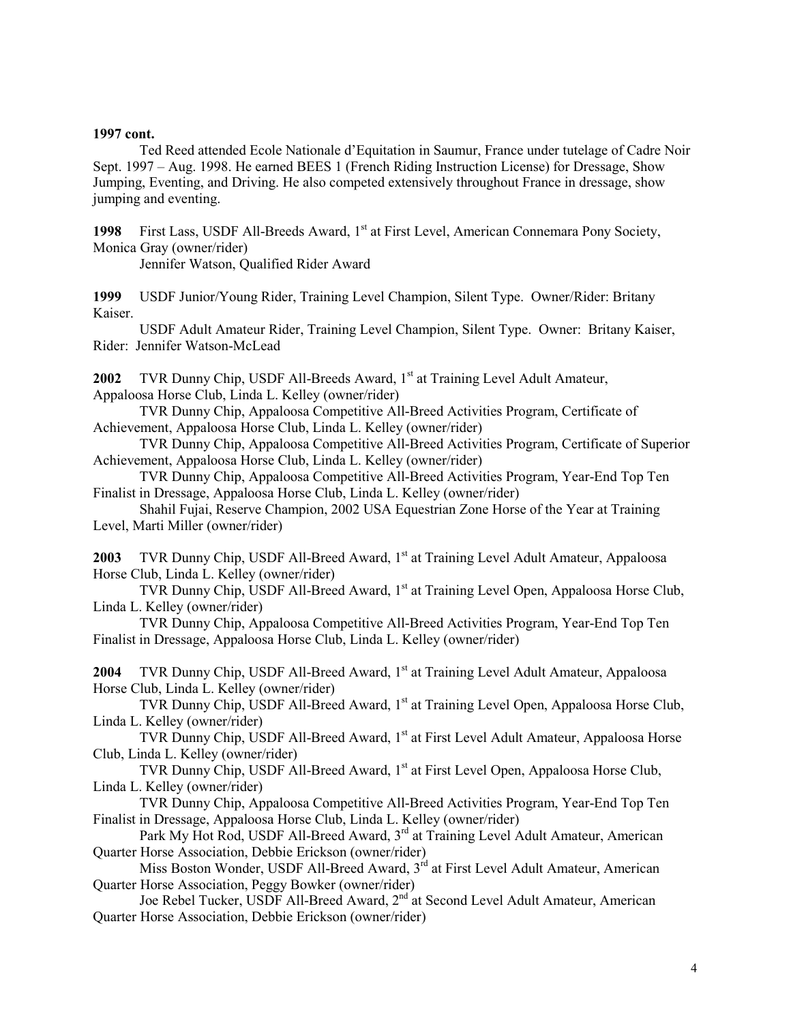### 1997 cont.

 Ted Reed attended Ecole Nationale d'Equitation in Saumur, France under tutelage of Cadre Noir Sept. 1997 – Aug. 1998. He earned BEES 1 (French Riding Instruction License) for Dressage, Show Jumping, Eventing, and Driving. He also competed extensively throughout France in dressage, show jumping and eventing.

1998 First Lass, USDF All-Breeds Award, 1<sup>st</sup> at First Level, American Connemara Pony Society, Monica Gray (owner/rider)

Jennifer Watson, Qualified Rider Award

1999 USDF Junior/Young Rider, Training Level Champion, Silent Type. Owner/Rider: Britany Kaiser.

USDF Adult Amateur Rider, Training Level Champion, Silent Type. Owner: Britany Kaiser, Rider: Jennifer Watson-McLead

2002 TVR Dunny Chip, USDF All-Breeds Award, 1<sup>st</sup> at Training Level Adult Amateur, Appaloosa Horse Club, Linda L. Kelley (owner/rider)

 TVR Dunny Chip, Appaloosa Competitive All-Breed Activities Program, Certificate of Achievement, Appaloosa Horse Club, Linda L. Kelley (owner/rider)

 TVR Dunny Chip, Appaloosa Competitive All-Breed Activities Program, Certificate of Superior Achievement, Appaloosa Horse Club, Linda L. Kelley (owner/rider)

 TVR Dunny Chip, Appaloosa Competitive All-Breed Activities Program, Year-End Top Ten Finalist in Dressage, Appaloosa Horse Club, Linda L. Kelley (owner/rider)

 Shahil Fujai, Reserve Champion, 2002 USA Equestrian Zone Horse of the Year at Training Level, Marti Miller (owner/rider)

2003 TVR Dunny Chip, USDF All-Breed Award, 1<sup>st</sup> at Training Level Adult Amateur, Appaloosa Horse Club, Linda L. Kelley (owner/rider)

TVR Dunny Chip, USDF All-Breed Award, 1<sup>st</sup> at Training Level Open, Appaloosa Horse Club, Linda L. Kelley (owner/rider)

 TVR Dunny Chip, Appaloosa Competitive All-Breed Activities Program, Year-End Top Ten Finalist in Dressage, Appaloosa Horse Club, Linda L. Kelley (owner/rider)

2004 TVR Dunny Chip, USDF All-Breed Award, 1<sup>st</sup> at Training Level Adult Amateur, Appaloosa Horse Club, Linda L. Kelley (owner/rider)

TVR Dunny Chip, USDF All-Breed Award, 1<sup>st</sup> at Training Level Open, Appaloosa Horse Club, Linda L. Kelley (owner/rider)

TVR Dunny Chip, USDF All-Breed Award, 1<sup>st</sup> at First Level Adult Amateur, Appaloosa Horse Club, Linda L. Kelley (owner/rider)

TVR Dunny Chip, USDF All-Breed Award, 1<sup>st</sup> at First Level Open, Appaloosa Horse Club, Linda L. Kelley (owner/rider)

 TVR Dunny Chip, Appaloosa Competitive All-Breed Activities Program, Year-End Top Ten Finalist in Dressage, Appaloosa Horse Club, Linda L. Kelley (owner/rider)

Park My Hot Rod, USDF All-Breed Award, 3<sup>rd</sup> at Training Level Adult Amateur, American Quarter Horse Association, Debbie Erickson (owner/rider)

Miss Boston Wonder, USDF All-Breed Award, 3<sup>rd</sup> at First Level Adult Amateur, American Quarter Horse Association, Peggy Bowker (owner/rider)

Joe Rebel Tucker, USDF All-Breed Award, 2<sup>nd</sup> at Second Level Adult Amateur, American Quarter Horse Association, Debbie Erickson (owner/rider)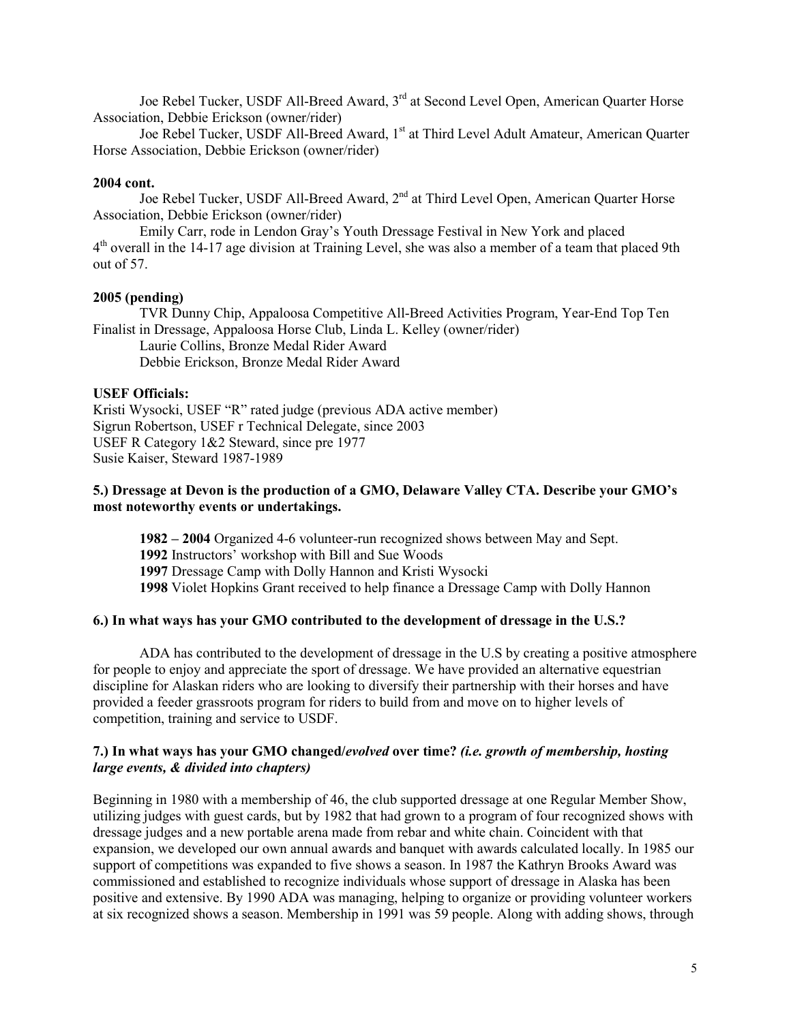Joe Rebel Tucker, USDF All-Breed Award, 3<sup>rd</sup> at Second Level Open, American Quarter Horse Association, Debbie Erickson (owner/rider)

Joe Rebel Tucker, USDF All-Breed Award, 1<sup>st</sup> at Third Level Adult Amateur, American Quarter Horse Association, Debbie Erickson (owner/rider)

## 2004 cont.

Joe Rebel Tucker, USDF All-Breed Award, 2<sup>nd</sup> at Third Level Open, American Quarter Horse Association, Debbie Erickson (owner/rider)

 Emily Carr, rode in Lendon Gray's Youth Dressage Festival in New York and placed 4<sup>th</sup> overall in the 14-17 age division at Training Level, she was also a member of a team that placed 9th out of 57.

# 2005 (pending)

TVR Dunny Chip, Appaloosa Competitive All-Breed Activities Program, Year-End Top Ten Finalist in Dressage, Appaloosa Horse Club, Linda L. Kelley (owner/rider) Laurie Collins, Bronze Medal Rider Award Debbie Erickson, Bronze Medal Rider Award

## USEF Officials:

Kristi Wysocki, USEF "R" rated judge (previous ADA active member) Sigrun Robertson, USEF r Technical Delegate, since 2003 USEF R Category 1&2 Steward, since pre 1977 Susie Kaiser, Steward 1987-1989

# 5.) Dressage at Devon is the production of a GMO, Delaware Valley CTA. Describe your GMO's most noteworthy events or undertakings.

1982 – 2004 Organized 4-6 volunteer-run recognized shows between May and Sept. Instructors' workshop with Bill and Sue Woods Dressage Camp with Dolly Hannon and Kristi Wysocki Violet Hopkins Grant received to help finance a Dressage Camp with Dolly Hannon

# 6.) In what ways has your GMO contributed to the development of dressage in the U.S.?

 ADA has contributed to the development of dressage in the U.S by creating a positive atmosphere for people to enjoy and appreciate the sport of dressage. We have provided an alternative equestrian discipline for Alaskan riders who are looking to diversify their partnership with their horses and have provided a feeder grassroots program for riders to build from and move on to higher levels of competition, training and service to USDF.

# 7.) In what ways has your GMO changed/evolved over time? (i.e. growth of membership, hosting large events, & divided into chapters)

Beginning in 1980 with a membership of 46, the club supported dressage at one Regular Member Show, utilizing judges with guest cards, but by 1982 that had grown to a program of four recognized shows with dressage judges and a new portable arena made from rebar and white chain. Coincident with that expansion, we developed our own annual awards and banquet with awards calculated locally. In 1985 our support of competitions was expanded to five shows a season. In 1987 the Kathryn Brooks Award was commissioned and established to recognize individuals whose support of dressage in Alaska has been positive and extensive. By 1990 ADA was managing, helping to organize or providing volunteer workers at six recognized shows a season. Membership in 1991 was 59 people. Along with adding shows, through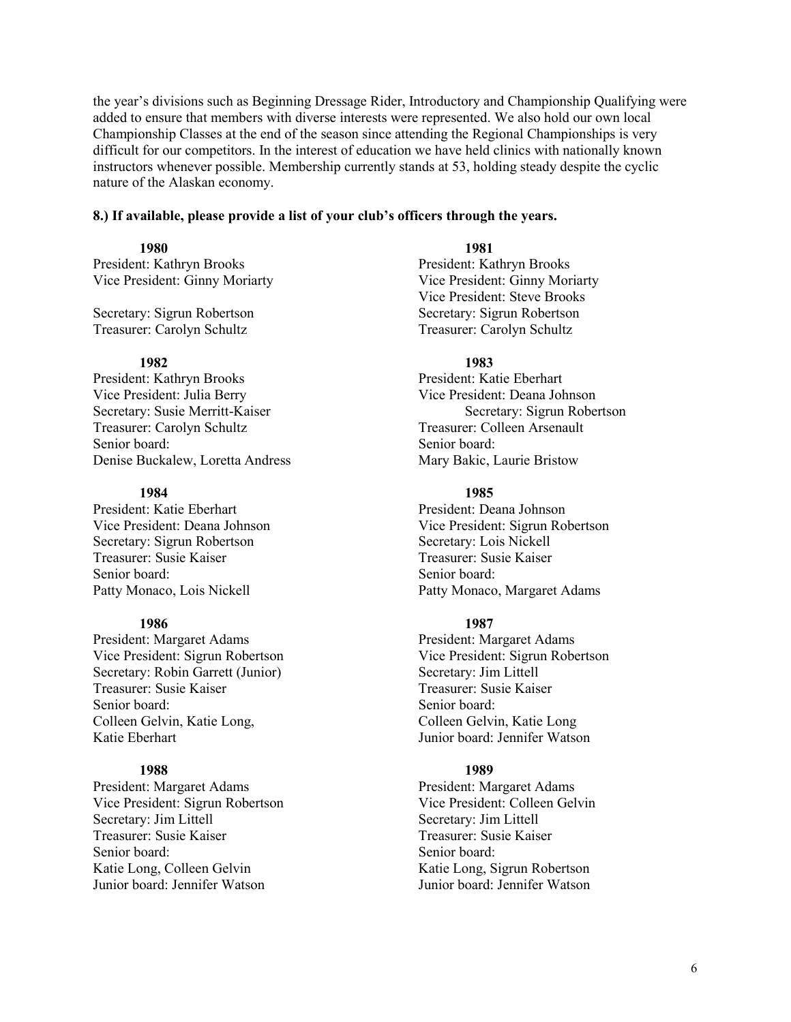the year's divisions such as Beginning Dressage Rider, Introductory and Championship Qualifying were added to ensure that members with diverse interests were represented. We also hold our own local Championship Classes at the end of the season since attending the Regional Championships is very difficult for our competitors. In the interest of education we have held clinics with nationally known instructors whenever possible. Membership currently stands at 53, holding steady despite the cyclic nature of the Alaskan economy.

# 8.) If available, please provide a list of your club's officers through the years.

President: Kathryn Brooks President: Kathryn Brooks

Secretary: Sigrun Robertson Treasurer: Carolyn Schultz Treasurer: Carolyn Schultz

President: Kathryn Brooks President: Katie Eberhart Vice President: Julia Berry Vice President: Deana Johnson Treasurer: Carolyn Schultz Senior board: Senior board: Senior board: Denise Buckalew, Loretta Andress Mary Bakic, Laurie Bristow

## 1984 1985

President: Katie Eberhart President: Deana Johnson Secretary: Sigrun Robertson<br>
Treasurer: Susie Kaiser<br>
Treasurer: Susie Kaiser<br>
Treasurer: Susie Kaiser Treasurer: Susie Kaiser Senior board: Senior board: Senior board:

President: Margaret Adams President: Margaret Adams Vice President: Sigrun Robertson Vice President: Sigrun Robertson Secretary: Robin Garrett (Junior) Secretary: Jim Littell Treasurer: Susie Kaiser Treasurer: Susie Kaiser Senior board: Senior board: Senior board: Colleen Gelvin, Katie Long, Colleen Gelvin, Katie Long Katie Eberhart Junior board: Jennifer Watson

President: Margaret Adams<br>
Vice President: Sigrun Robertson<br>
Vice President: Colleen Gelvin Vice President: Sigrun Robertson Secretary: Jim Littell Secretary: Jim Littell Treasurer: Susie Kaiser Treasurer: Susie Kaiser Senior board: Senior board: Senior board: Katie Long, Colleen Gelvin Katie Long, Sigrun Robertson Junior board: Jennifer Watson Junior board: Jennifer Watson

## 1980 1981

Vice President: Ginny Moriarty Vice President: Ginny Moriarty Vice President: Steve Brooks<br>Secretary: Sigrun Robertson

# 1982 1983

Secretary: Susie Merritt-Kaiser<br>
Treasurer: Carolyn Schultz<br>
Secretary: Sigrun Robertson<br>
Treasurer: Colleen Arsenault

Vice President: Deana Johnson Vice President: Sigrun Robertson Patty Monaco, Lois Nickell Patty Monaco, Margaret Adams

## 1986 1987

# 1988 1989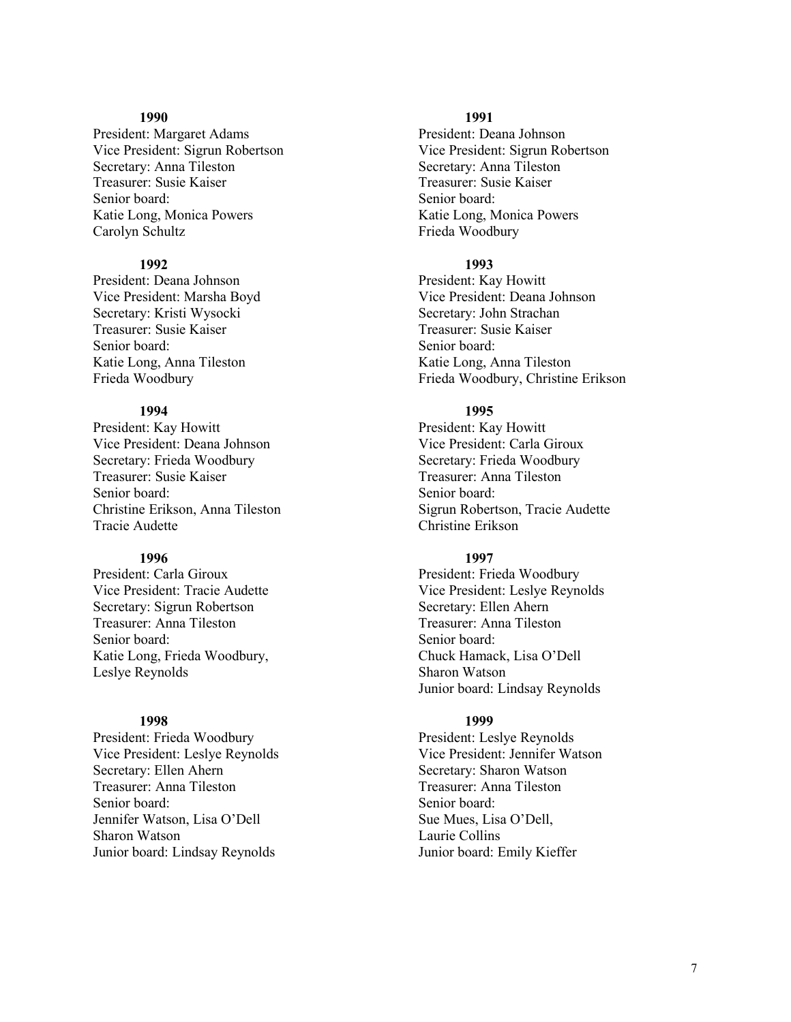President: Margaret Adams President: Deana Johnson Vice President: Sigrun Robertson Vice President: Sigrun Robertson Secretary: Anna Tileston Secretary: Anna Tileston Treasurer: Susie Kaiser<br>
Senior board:<br>
Senior board:<br>
Senior board:<br>
Senior board: Katie Long, Monica Powers **Katie Long, Monica Powers** Katie Long, Monica Powers Carolyn Schultz Frieda Woodbury

President: Deana Johnson President: Kay Howitt Secretary: Kristi Wysocki Treasurer: Susie Kaiser Treasurer: Susie Kaiser Senior board: Senior board: Katie Long, Anna Tileston Katie Long, Anna Tileston

President: Kay Howitt President: Kay Howitt Vice President: Deana Johnson Vice President: Carla Giroux Secretary: Frieda Woodbury Secretary: Frieda Woodbury Secretary: Frieda Woodbury Treasurer: Anna Tileston Senior board: Senior board: Senior board: Tracie Audette Christine Erikson

President: Carla Giroux President: Frieda Woodbury Secretary: Sigrun Robertson Secretary: Ellen Ahern Treasurer: Anna Tileston Treasurer: Anna Tileston Senior board: Senior board: Katie Long, Frieda Woodbury, Chuck Hamack, Lisa O'Dell Leslye Reynolds Sharon Watson

President: Frieda Woodbury President: Leslye Reynolds Vice President: Leslye Reynolds Vice President: Jennifer Watson Secretary: Ellen Ahern Secretary: Sharon Watson Treasurer: Anna Tileston Treasurer: Anna Tileston Senior board: Senior board: Jennifer Watson, Lisa O'Dell Sue Mues, Lisa O'Dell, Sharon Watson Laurie Collins Junior board: Lindsay Reynolds Junior board: Emily Kieffer

## 1990 1991

Senior board:

# 1992 1993

Vice President: Marsha Boyd<br>
Secretary: Kristi Wysocki<br>
Secretary: John Strachan Frieda Woodbury Frieda Woodbury, Christine Erikson

## 1994 1995

Treasurer: Anna Tileston Christine Erikson, Anna Tileston Sigrun Robertson, Tracie Audette

## 1996 1997

Vice President: Tracie Audette Vice President: Leslye Reynolds Junior board: Lindsay Reynolds

## 1998 1999

Senior board: